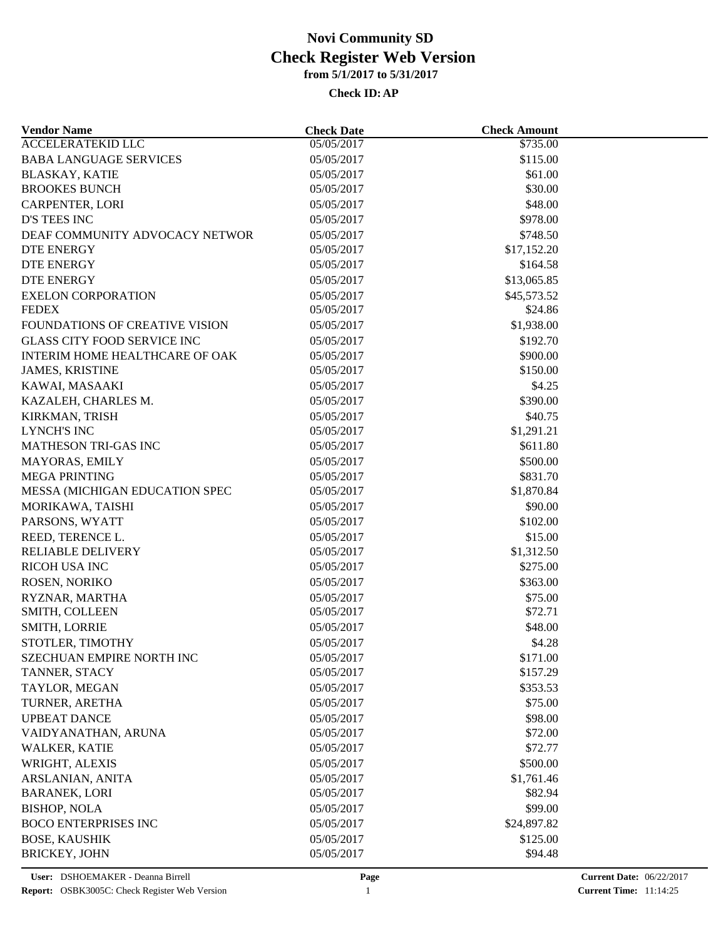| <b>Vendor Name</b>                    | <b>Check Date</b> | <b>Check Amount</b> |  |
|---------------------------------------|-------------------|---------------------|--|
| <b>ACCELERATEKID LLC</b>              | 05/05/2017        | \$735.00            |  |
| <b>BABA LANGUAGE SERVICES</b>         | 05/05/2017        | \$115.00            |  |
| <b>BLASKAY, KATIE</b>                 | 05/05/2017        | \$61.00             |  |
| <b>BROOKES BUNCH</b>                  | 05/05/2017        | \$30.00             |  |
| <b>CARPENTER, LORI</b>                | 05/05/2017        | \$48.00             |  |
| D'S TEES INC                          | 05/05/2017        | \$978.00            |  |
| DEAF COMMUNITY ADVOCACY NETWOR        | 05/05/2017        | \$748.50            |  |
| DTE ENERGY                            | 05/05/2017        | \$17,152.20         |  |
| DTE ENERGY                            | 05/05/2017        | \$164.58            |  |
| <b>DTE ENERGY</b>                     | 05/05/2017        | \$13,065.85         |  |
| <b>EXELON CORPORATION</b>             | 05/05/2017        | \$45,573.52         |  |
| <b>FEDEX</b>                          | 05/05/2017        | \$24.86             |  |
| <b>FOUNDATIONS OF CREATIVE VISION</b> | 05/05/2017        | \$1,938.00          |  |
| <b>GLASS CITY FOOD SERVICE INC</b>    | 05/05/2017        | \$192.70            |  |
| INTERIM HOME HEALTHCARE OF OAK        | 05/05/2017        | \$900.00            |  |
| <b>JAMES, KRISTINE</b>                | 05/05/2017        | \$150.00            |  |
| KAWAI, MASAAKI                        | 05/05/2017        | \$4.25              |  |
| KAZALEH, CHARLES M.                   | 05/05/2017        | \$390.00            |  |
| KIRKMAN, TRISH                        | 05/05/2017        | \$40.75             |  |
| <b>LYNCH'S INC</b>                    | 05/05/2017        | \$1,291.21          |  |
| MATHESON TRI-GAS INC                  | 05/05/2017        | \$611.80            |  |
| MAYORAS, EMILY                        | 05/05/2017        | \$500.00            |  |
| <b>MEGA PRINTING</b>                  | 05/05/2017        | \$831.70            |  |
| MESSA (MICHIGAN EDUCATION SPEC        | 05/05/2017        | \$1,870.84          |  |
| MORIKAWA, TAISHI                      | 05/05/2017        | \$90.00             |  |
| PARSONS, WYATT                        | 05/05/2017        | \$102.00            |  |
| REED, TERENCE L.                      | 05/05/2017        | \$15.00             |  |
| <b>RELIABLE DELIVERY</b>              | 05/05/2017        | \$1,312.50          |  |
| RICOH USA INC                         | 05/05/2017        | \$275.00            |  |
| ROSEN, NORIKO                         | 05/05/2017        | \$363.00            |  |
| RYZNAR, MARTHA                        | 05/05/2017        | \$75.00             |  |
| SMITH, COLLEEN                        | 05/05/2017        | \$72.71             |  |
| SMITH, LORRIE                         | 05/05/2017        | \$48.00             |  |
| STOTLER, TIMOTHY                      | 05/05/2017        | \$4.28              |  |
|                                       |                   |                     |  |
| SZECHUAN EMPIRE NORTH INC             | 05/05/2017        | \$171.00            |  |
| TANNER, STACY                         | 05/05/2017        | \$157.29            |  |
| TAYLOR, MEGAN                         | 05/05/2017        | \$353.53            |  |
| TURNER, ARETHA                        | 05/05/2017        | \$75.00             |  |
| <b>UPBEAT DANCE</b>                   | 05/05/2017        | \$98.00             |  |
| VAIDYANATHAN, ARUNA                   | 05/05/2017        | \$72.00             |  |
| <b>WALKER, KATIE</b>                  | 05/05/2017        | \$72.77             |  |
| WRIGHT, ALEXIS                        | 05/05/2017        | \$500.00            |  |
| ARSLANIAN, ANITA                      | 05/05/2017        | \$1,761.46          |  |
| <b>BARANEK, LORI</b>                  | 05/05/2017        | \$82.94             |  |
| <b>BISHOP, NOLA</b>                   | 05/05/2017        | \$99.00             |  |
| <b>BOCO ENTERPRISES INC</b>           | 05/05/2017        | \$24,897.82         |  |
| <b>BOSE, KAUSHIK</b>                  | 05/05/2017        | \$125.00            |  |
| <b>BRICKEY, JOHN</b>                  | 05/05/2017        | \$94.48             |  |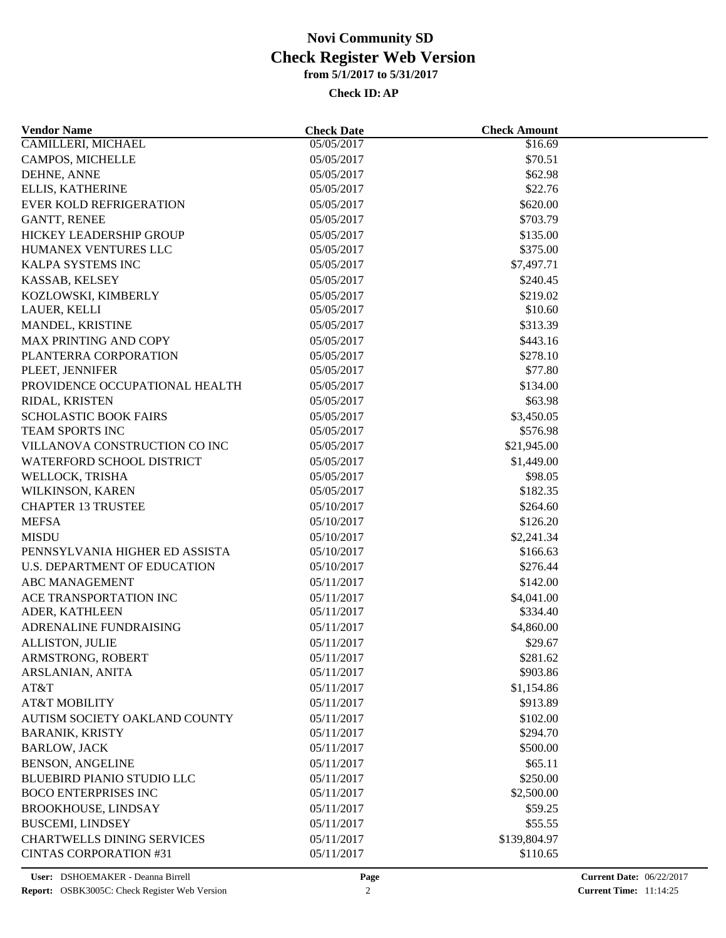| <b>Vendor Name</b>                  | <b>Check Date</b> | <b>Check Amount</b> |  |
|-------------------------------------|-------------------|---------------------|--|
| CAMILLERI, MICHAEL                  | 05/05/2017        | \$16.69             |  |
| CAMPOS, MICHELLE                    | 05/05/2017        | \$70.51             |  |
| DEHNE, ANNE                         | 05/05/2017        | \$62.98             |  |
| ELLIS, KATHERINE                    | 05/05/2017        | \$22.76             |  |
| <b>EVER KOLD REFRIGERATION</b>      | 05/05/2017        | \$620.00            |  |
| <b>GANTT, RENEE</b>                 | 05/05/2017        | \$703.79            |  |
| HICKEY LEADERSHIP GROUP             | 05/05/2017        | \$135.00            |  |
| HUMANEX VENTURES LLC                | 05/05/2017        | \$375.00            |  |
| KALPA SYSTEMS INC                   | 05/05/2017        | \$7,497.71          |  |
| KASSAB, KELSEY                      | 05/05/2017        | \$240.45            |  |
| KOZLOWSKI, KIMBERLY                 | 05/05/2017        | \$219.02            |  |
| LAUER, KELLI                        | 05/05/2017        | \$10.60             |  |
| MANDEL, KRISTINE                    | 05/05/2017        | \$313.39            |  |
| <b>MAX PRINTING AND COPY</b>        | 05/05/2017        | \$443.16            |  |
| PLANTERRA CORPORATION               | 05/05/2017        | \$278.10            |  |
| PLEET, JENNIFER                     | 05/05/2017        | \$77.80             |  |
| PROVIDENCE OCCUPATIONAL HEALTH      | 05/05/2017        | \$134.00            |  |
| RIDAL, KRISTEN                      | 05/05/2017        | \$63.98             |  |
| <b>SCHOLASTIC BOOK FAIRS</b>        | 05/05/2017        | \$3,450.05          |  |
| TEAM SPORTS INC                     | 05/05/2017        | \$576.98            |  |
| VILLANOVA CONSTRUCTION CO INC       | 05/05/2017        | \$21,945.00         |  |
| WATERFORD SCHOOL DISTRICT           |                   | \$1,449.00          |  |
|                                     | 05/05/2017        |                     |  |
| WELLOCK, TRISHA                     | 05/05/2017        | \$98.05             |  |
| WILKINSON, KAREN                    | 05/05/2017        | \$182.35            |  |
| <b>CHAPTER 13 TRUSTEE</b>           | 05/10/2017        | \$264.60            |  |
| <b>MEFSA</b>                        | 05/10/2017        | \$126.20            |  |
| <b>MISDU</b>                        | 05/10/2017        | \$2,241.34          |  |
| PENNSYLVANIA HIGHER ED ASSISTA      | 05/10/2017        | \$166.63            |  |
| <b>U.S. DEPARTMENT OF EDUCATION</b> | 05/10/2017        | \$276.44            |  |
| ABC MANAGEMENT                      | 05/11/2017        | \$142.00            |  |
| ACE TRANSPORTATION INC              | 05/11/2017        | \$4,041.00          |  |
| ADER, KATHLEEN                      | 05/11/2017        | \$334.40            |  |
| ADRENALINE FUNDRAISING              | 05/11/2017        | \$4,860.00          |  |
| ALLISTON, JULIE                     | 05/11/2017        | \$29.67             |  |
| ARMSTRONG, ROBERT                   | 05/11/2017        | \$281.62            |  |
| ARSLANIAN, ANITA                    | 05/11/2017        | \$903.86            |  |
| AT&T                                | 05/11/2017        | \$1,154.86          |  |
| <b>AT&amp;T MOBILITY</b>            | 05/11/2017        | \$913.89            |  |
| AUTISM SOCIETY OAKLAND COUNTY       | 05/11/2017        | \$102.00            |  |
| <b>BARANIK, KRISTY</b>              | 05/11/2017        | \$294.70            |  |
| <b>BARLOW, JACK</b>                 | 05/11/2017        | \$500.00            |  |
| <b>BENSON, ANGELINE</b>             | 05/11/2017        | \$65.11             |  |
| <b>BLUEBIRD PIANIO STUDIO LLC</b>   | 05/11/2017        | \$250.00            |  |
| <b>BOCO ENTERPRISES INC</b>         | 05/11/2017        | \$2,500.00          |  |
| <b>BROOKHOUSE, LINDSAY</b>          | 05/11/2017        | \$59.25             |  |
| <b>BUSCEMI, LINDSEY</b>             | 05/11/2017        | \$55.55             |  |
| <b>CHARTWELLS DINING SERVICES</b>   | 05/11/2017        | \$139,804.97        |  |
| <b>CINTAS CORPORATION #31</b>       | 05/11/2017        | \$110.65            |  |
|                                     |                   |                     |  |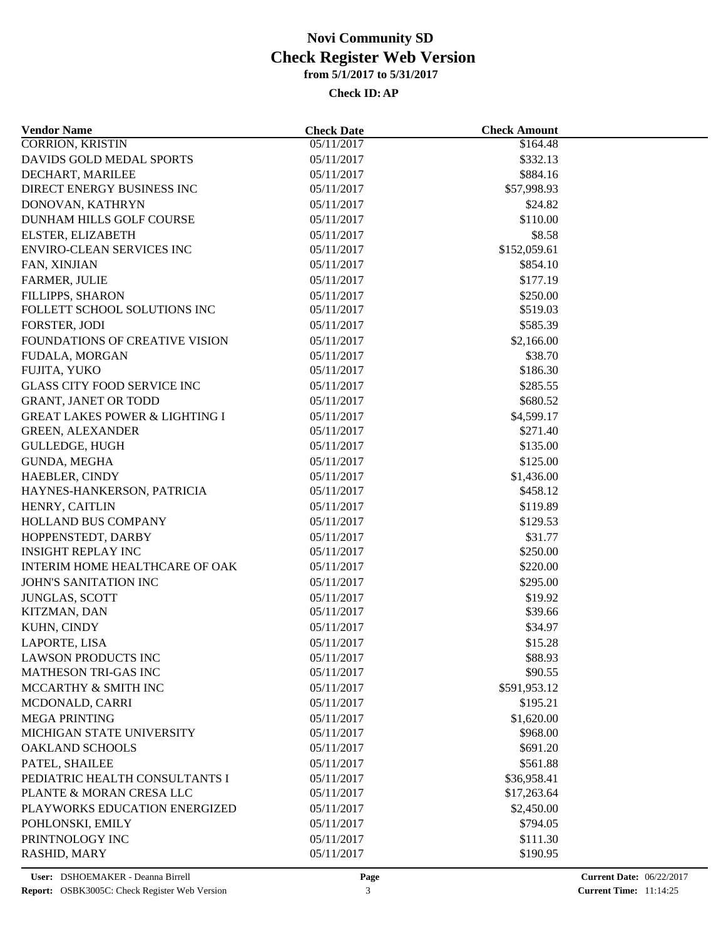| <b>CORRION, KRISTIN</b><br>05/11/2017<br>\$164.48<br>DAVIDS GOLD MEDAL SPORTS<br>\$332.13<br>05/11/2017<br>DECHART, MARILEE<br>\$884.16<br>05/11/2017<br>DIRECT ENERGY BUSINESS INC<br>05/11/2017<br>\$57,998.93<br>DONOVAN, KATHRYN<br>05/11/2017<br>\$24.82<br>\$110.00<br>DUNHAM HILLS GOLF COURSE<br>05/11/2017<br>ELSTER, ELIZABETH<br>05/11/2017<br>\$8.58<br><b>ENVIRO-CLEAN SERVICES INC</b><br>\$152,059.61<br>05/11/2017<br>FAN, XINJIAN<br>05/11/2017<br>\$854.10<br>\$177.19<br><b>FARMER, JULIE</b><br>05/11/2017<br>FILLIPPS, SHARON<br>\$250.00<br>05/11/2017<br>FOLLETT SCHOOL SOLUTIONS INC<br>\$519.03<br>05/11/2017<br>\$585.39<br>FORSTER, JODI<br>05/11/2017<br>FOUNDATIONS OF CREATIVE VISION<br>05/11/2017<br>\$2,166.00<br>FUDALA, MORGAN<br>05/11/2017<br>\$38.70<br>\$186.30<br>FUJITA, YUKO<br>05/11/2017<br><b>GLASS CITY FOOD SERVICE INC</b><br>05/11/2017<br>\$285.55<br>\$680.52<br><b>GRANT, JANET OR TODD</b><br>05/11/2017<br><b>GREAT LAKES POWER &amp; LIGHTING I</b><br>\$4,599.17<br>05/11/2017<br>\$271.40<br><b>GREEN, ALEXANDER</b><br>05/11/2017<br><b>GULLEDGE, HUGH</b><br>05/11/2017<br>\$135.00<br>GUNDA, MEGHA<br>05/11/2017<br>\$125.00<br>HAEBLER, CINDY<br>05/11/2017<br>\$1,436.00<br>HAYNES-HANKERSON, PATRICIA<br>05/11/2017<br>\$458.12<br>\$119.89<br>HENRY, CAITLIN<br>05/11/2017<br>\$129.53<br><b>HOLLAND BUS COMPANY</b><br>05/11/2017<br>HOPPENSTEDT, DARBY<br>\$31.77<br>05/11/2017<br>\$250.00<br><b>INSIGHT REPLAY INC</b><br>05/11/2017<br>INTERIM HOME HEALTHCARE OF OAK<br>05/11/2017<br>\$220.00<br>JOHN'S SANITATION INC<br>05/11/2017<br>\$295.00<br>JUNGLAS, SCOTT<br>05/11/2017<br>\$19.92<br>KITZMAN, DAN<br>05/11/2017<br>\$39.66<br>KUHN, CINDY<br>05/11/2017<br>\$34.97<br>LAPORTE, LISA<br>05/11/2017<br>\$15.28<br><b>LAWSON PRODUCTS INC</b><br>\$88.93<br>05/11/2017<br><b>MATHESON TRI-GAS INC</b><br>05/11/2017<br>\$90.55<br>MCCARTHY & SMITH INC<br>05/11/2017<br>\$591,953.12<br>MCDONALD, CARRI<br>05/11/2017<br>\$195.21<br><b>MEGA PRINTING</b><br>\$1,620.00<br>05/11/2017<br>MICHIGAN STATE UNIVERSITY<br>05/11/2017<br>\$968.00<br>OAKLAND SCHOOLS<br>05/11/2017<br>\$691.20<br>\$561.88<br>PATEL, SHAILEE<br>05/11/2017<br>PEDIATRIC HEALTH CONSULTANTS I<br>05/11/2017<br>\$36,958.41<br>PLANTE & MORAN CRESA LLC<br>05/11/2017<br>\$17,263.64<br>PLAYWORKS EDUCATION ENERGIZED<br>05/11/2017<br>\$2,450.00<br>POHLONSKI, EMILY<br>05/11/2017<br>\$794.05<br>PRINTNOLOGY INC<br>05/11/2017<br>\$111.30 | <b>Vendor Name</b> | <b>Check Date</b> | <b>Check Amount</b> |  |
|-----------------------------------------------------------------------------------------------------------------------------------------------------------------------------------------------------------------------------------------------------------------------------------------------------------------------------------------------------------------------------------------------------------------------------------------------------------------------------------------------------------------------------------------------------------------------------------------------------------------------------------------------------------------------------------------------------------------------------------------------------------------------------------------------------------------------------------------------------------------------------------------------------------------------------------------------------------------------------------------------------------------------------------------------------------------------------------------------------------------------------------------------------------------------------------------------------------------------------------------------------------------------------------------------------------------------------------------------------------------------------------------------------------------------------------------------------------------------------------------------------------------------------------------------------------------------------------------------------------------------------------------------------------------------------------------------------------------------------------------------------------------------------------------------------------------------------------------------------------------------------------------------------------------------------------------------------------------------------------------------------------------------------------------------------------------------------------------------------------------------------------------------------------------------------------------------------------------------------------------------------------------------------------------------------------------------------------------------------------------------------------------------------------------------------------------------------------------------------------------------------|--------------------|-------------------|---------------------|--|
|                                                                                                                                                                                                                                                                                                                                                                                                                                                                                                                                                                                                                                                                                                                                                                                                                                                                                                                                                                                                                                                                                                                                                                                                                                                                                                                                                                                                                                                                                                                                                                                                                                                                                                                                                                                                                                                                                                                                                                                                                                                                                                                                                                                                                                                                                                                                                                                                                                                                                                     |                    |                   |                     |  |
|                                                                                                                                                                                                                                                                                                                                                                                                                                                                                                                                                                                                                                                                                                                                                                                                                                                                                                                                                                                                                                                                                                                                                                                                                                                                                                                                                                                                                                                                                                                                                                                                                                                                                                                                                                                                                                                                                                                                                                                                                                                                                                                                                                                                                                                                                                                                                                                                                                                                                                     |                    |                   |                     |  |
|                                                                                                                                                                                                                                                                                                                                                                                                                                                                                                                                                                                                                                                                                                                                                                                                                                                                                                                                                                                                                                                                                                                                                                                                                                                                                                                                                                                                                                                                                                                                                                                                                                                                                                                                                                                                                                                                                                                                                                                                                                                                                                                                                                                                                                                                                                                                                                                                                                                                                                     |                    |                   |                     |  |
|                                                                                                                                                                                                                                                                                                                                                                                                                                                                                                                                                                                                                                                                                                                                                                                                                                                                                                                                                                                                                                                                                                                                                                                                                                                                                                                                                                                                                                                                                                                                                                                                                                                                                                                                                                                                                                                                                                                                                                                                                                                                                                                                                                                                                                                                                                                                                                                                                                                                                                     |                    |                   |                     |  |
|                                                                                                                                                                                                                                                                                                                                                                                                                                                                                                                                                                                                                                                                                                                                                                                                                                                                                                                                                                                                                                                                                                                                                                                                                                                                                                                                                                                                                                                                                                                                                                                                                                                                                                                                                                                                                                                                                                                                                                                                                                                                                                                                                                                                                                                                                                                                                                                                                                                                                                     |                    |                   |                     |  |
|                                                                                                                                                                                                                                                                                                                                                                                                                                                                                                                                                                                                                                                                                                                                                                                                                                                                                                                                                                                                                                                                                                                                                                                                                                                                                                                                                                                                                                                                                                                                                                                                                                                                                                                                                                                                                                                                                                                                                                                                                                                                                                                                                                                                                                                                                                                                                                                                                                                                                                     |                    |                   |                     |  |
|                                                                                                                                                                                                                                                                                                                                                                                                                                                                                                                                                                                                                                                                                                                                                                                                                                                                                                                                                                                                                                                                                                                                                                                                                                                                                                                                                                                                                                                                                                                                                                                                                                                                                                                                                                                                                                                                                                                                                                                                                                                                                                                                                                                                                                                                                                                                                                                                                                                                                                     |                    |                   |                     |  |
|                                                                                                                                                                                                                                                                                                                                                                                                                                                                                                                                                                                                                                                                                                                                                                                                                                                                                                                                                                                                                                                                                                                                                                                                                                                                                                                                                                                                                                                                                                                                                                                                                                                                                                                                                                                                                                                                                                                                                                                                                                                                                                                                                                                                                                                                                                                                                                                                                                                                                                     |                    |                   |                     |  |
|                                                                                                                                                                                                                                                                                                                                                                                                                                                                                                                                                                                                                                                                                                                                                                                                                                                                                                                                                                                                                                                                                                                                                                                                                                                                                                                                                                                                                                                                                                                                                                                                                                                                                                                                                                                                                                                                                                                                                                                                                                                                                                                                                                                                                                                                                                                                                                                                                                                                                                     |                    |                   |                     |  |
|                                                                                                                                                                                                                                                                                                                                                                                                                                                                                                                                                                                                                                                                                                                                                                                                                                                                                                                                                                                                                                                                                                                                                                                                                                                                                                                                                                                                                                                                                                                                                                                                                                                                                                                                                                                                                                                                                                                                                                                                                                                                                                                                                                                                                                                                                                                                                                                                                                                                                                     |                    |                   |                     |  |
|                                                                                                                                                                                                                                                                                                                                                                                                                                                                                                                                                                                                                                                                                                                                                                                                                                                                                                                                                                                                                                                                                                                                                                                                                                                                                                                                                                                                                                                                                                                                                                                                                                                                                                                                                                                                                                                                                                                                                                                                                                                                                                                                                                                                                                                                                                                                                                                                                                                                                                     |                    |                   |                     |  |
|                                                                                                                                                                                                                                                                                                                                                                                                                                                                                                                                                                                                                                                                                                                                                                                                                                                                                                                                                                                                                                                                                                                                                                                                                                                                                                                                                                                                                                                                                                                                                                                                                                                                                                                                                                                                                                                                                                                                                                                                                                                                                                                                                                                                                                                                                                                                                                                                                                                                                                     |                    |                   |                     |  |
|                                                                                                                                                                                                                                                                                                                                                                                                                                                                                                                                                                                                                                                                                                                                                                                                                                                                                                                                                                                                                                                                                                                                                                                                                                                                                                                                                                                                                                                                                                                                                                                                                                                                                                                                                                                                                                                                                                                                                                                                                                                                                                                                                                                                                                                                                                                                                                                                                                                                                                     |                    |                   |                     |  |
|                                                                                                                                                                                                                                                                                                                                                                                                                                                                                                                                                                                                                                                                                                                                                                                                                                                                                                                                                                                                                                                                                                                                                                                                                                                                                                                                                                                                                                                                                                                                                                                                                                                                                                                                                                                                                                                                                                                                                                                                                                                                                                                                                                                                                                                                                                                                                                                                                                                                                                     |                    |                   |                     |  |
|                                                                                                                                                                                                                                                                                                                                                                                                                                                                                                                                                                                                                                                                                                                                                                                                                                                                                                                                                                                                                                                                                                                                                                                                                                                                                                                                                                                                                                                                                                                                                                                                                                                                                                                                                                                                                                                                                                                                                                                                                                                                                                                                                                                                                                                                                                                                                                                                                                                                                                     |                    |                   |                     |  |
|                                                                                                                                                                                                                                                                                                                                                                                                                                                                                                                                                                                                                                                                                                                                                                                                                                                                                                                                                                                                                                                                                                                                                                                                                                                                                                                                                                                                                                                                                                                                                                                                                                                                                                                                                                                                                                                                                                                                                                                                                                                                                                                                                                                                                                                                                                                                                                                                                                                                                                     |                    |                   |                     |  |
|                                                                                                                                                                                                                                                                                                                                                                                                                                                                                                                                                                                                                                                                                                                                                                                                                                                                                                                                                                                                                                                                                                                                                                                                                                                                                                                                                                                                                                                                                                                                                                                                                                                                                                                                                                                                                                                                                                                                                                                                                                                                                                                                                                                                                                                                                                                                                                                                                                                                                                     |                    |                   |                     |  |
|                                                                                                                                                                                                                                                                                                                                                                                                                                                                                                                                                                                                                                                                                                                                                                                                                                                                                                                                                                                                                                                                                                                                                                                                                                                                                                                                                                                                                                                                                                                                                                                                                                                                                                                                                                                                                                                                                                                                                                                                                                                                                                                                                                                                                                                                                                                                                                                                                                                                                                     |                    |                   |                     |  |
|                                                                                                                                                                                                                                                                                                                                                                                                                                                                                                                                                                                                                                                                                                                                                                                                                                                                                                                                                                                                                                                                                                                                                                                                                                                                                                                                                                                                                                                                                                                                                                                                                                                                                                                                                                                                                                                                                                                                                                                                                                                                                                                                                                                                                                                                                                                                                                                                                                                                                                     |                    |                   |                     |  |
|                                                                                                                                                                                                                                                                                                                                                                                                                                                                                                                                                                                                                                                                                                                                                                                                                                                                                                                                                                                                                                                                                                                                                                                                                                                                                                                                                                                                                                                                                                                                                                                                                                                                                                                                                                                                                                                                                                                                                                                                                                                                                                                                                                                                                                                                                                                                                                                                                                                                                                     |                    |                   |                     |  |
|                                                                                                                                                                                                                                                                                                                                                                                                                                                                                                                                                                                                                                                                                                                                                                                                                                                                                                                                                                                                                                                                                                                                                                                                                                                                                                                                                                                                                                                                                                                                                                                                                                                                                                                                                                                                                                                                                                                                                                                                                                                                                                                                                                                                                                                                                                                                                                                                                                                                                                     |                    |                   |                     |  |
|                                                                                                                                                                                                                                                                                                                                                                                                                                                                                                                                                                                                                                                                                                                                                                                                                                                                                                                                                                                                                                                                                                                                                                                                                                                                                                                                                                                                                                                                                                                                                                                                                                                                                                                                                                                                                                                                                                                                                                                                                                                                                                                                                                                                                                                                                                                                                                                                                                                                                                     |                    |                   |                     |  |
|                                                                                                                                                                                                                                                                                                                                                                                                                                                                                                                                                                                                                                                                                                                                                                                                                                                                                                                                                                                                                                                                                                                                                                                                                                                                                                                                                                                                                                                                                                                                                                                                                                                                                                                                                                                                                                                                                                                                                                                                                                                                                                                                                                                                                                                                                                                                                                                                                                                                                                     |                    |                   |                     |  |
|                                                                                                                                                                                                                                                                                                                                                                                                                                                                                                                                                                                                                                                                                                                                                                                                                                                                                                                                                                                                                                                                                                                                                                                                                                                                                                                                                                                                                                                                                                                                                                                                                                                                                                                                                                                                                                                                                                                                                                                                                                                                                                                                                                                                                                                                                                                                                                                                                                                                                                     |                    |                   |                     |  |
|                                                                                                                                                                                                                                                                                                                                                                                                                                                                                                                                                                                                                                                                                                                                                                                                                                                                                                                                                                                                                                                                                                                                                                                                                                                                                                                                                                                                                                                                                                                                                                                                                                                                                                                                                                                                                                                                                                                                                                                                                                                                                                                                                                                                                                                                                                                                                                                                                                                                                                     |                    |                   |                     |  |
|                                                                                                                                                                                                                                                                                                                                                                                                                                                                                                                                                                                                                                                                                                                                                                                                                                                                                                                                                                                                                                                                                                                                                                                                                                                                                                                                                                                                                                                                                                                                                                                                                                                                                                                                                                                                                                                                                                                                                                                                                                                                                                                                                                                                                                                                                                                                                                                                                                                                                                     |                    |                   |                     |  |
|                                                                                                                                                                                                                                                                                                                                                                                                                                                                                                                                                                                                                                                                                                                                                                                                                                                                                                                                                                                                                                                                                                                                                                                                                                                                                                                                                                                                                                                                                                                                                                                                                                                                                                                                                                                                                                                                                                                                                                                                                                                                                                                                                                                                                                                                                                                                                                                                                                                                                                     |                    |                   |                     |  |
|                                                                                                                                                                                                                                                                                                                                                                                                                                                                                                                                                                                                                                                                                                                                                                                                                                                                                                                                                                                                                                                                                                                                                                                                                                                                                                                                                                                                                                                                                                                                                                                                                                                                                                                                                                                                                                                                                                                                                                                                                                                                                                                                                                                                                                                                                                                                                                                                                                                                                                     |                    |                   |                     |  |
|                                                                                                                                                                                                                                                                                                                                                                                                                                                                                                                                                                                                                                                                                                                                                                                                                                                                                                                                                                                                                                                                                                                                                                                                                                                                                                                                                                                                                                                                                                                                                                                                                                                                                                                                                                                                                                                                                                                                                                                                                                                                                                                                                                                                                                                                                                                                                                                                                                                                                                     |                    |                   |                     |  |
|                                                                                                                                                                                                                                                                                                                                                                                                                                                                                                                                                                                                                                                                                                                                                                                                                                                                                                                                                                                                                                                                                                                                                                                                                                                                                                                                                                                                                                                                                                                                                                                                                                                                                                                                                                                                                                                                                                                                                                                                                                                                                                                                                                                                                                                                                                                                                                                                                                                                                                     |                    |                   |                     |  |
|                                                                                                                                                                                                                                                                                                                                                                                                                                                                                                                                                                                                                                                                                                                                                                                                                                                                                                                                                                                                                                                                                                                                                                                                                                                                                                                                                                                                                                                                                                                                                                                                                                                                                                                                                                                                                                                                                                                                                                                                                                                                                                                                                                                                                                                                                                                                                                                                                                                                                                     |                    |                   |                     |  |
|                                                                                                                                                                                                                                                                                                                                                                                                                                                                                                                                                                                                                                                                                                                                                                                                                                                                                                                                                                                                                                                                                                                                                                                                                                                                                                                                                                                                                                                                                                                                                                                                                                                                                                                                                                                                                                                                                                                                                                                                                                                                                                                                                                                                                                                                                                                                                                                                                                                                                                     |                    |                   |                     |  |
|                                                                                                                                                                                                                                                                                                                                                                                                                                                                                                                                                                                                                                                                                                                                                                                                                                                                                                                                                                                                                                                                                                                                                                                                                                                                                                                                                                                                                                                                                                                                                                                                                                                                                                                                                                                                                                                                                                                                                                                                                                                                                                                                                                                                                                                                                                                                                                                                                                                                                                     |                    |                   |                     |  |
|                                                                                                                                                                                                                                                                                                                                                                                                                                                                                                                                                                                                                                                                                                                                                                                                                                                                                                                                                                                                                                                                                                                                                                                                                                                                                                                                                                                                                                                                                                                                                                                                                                                                                                                                                                                                                                                                                                                                                                                                                                                                                                                                                                                                                                                                                                                                                                                                                                                                                                     |                    |                   |                     |  |
|                                                                                                                                                                                                                                                                                                                                                                                                                                                                                                                                                                                                                                                                                                                                                                                                                                                                                                                                                                                                                                                                                                                                                                                                                                                                                                                                                                                                                                                                                                                                                                                                                                                                                                                                                                                                                                                                                                                                                                                                                                                                                                                                                                                                                                                                                                                                                                                                                                                                                                     |                    |                   |                     |  |
|                                                                                                                                                                                                                                                                                                                                                                                                                                                                                                                                                                                                                                                                                                                                                                                                                                                                                                                                                                                                                                                                                                                                                                                                                                                                                                                                                                                                                                                                                                                                                                                                                                                                                                                                                                                                                                                                                                                                                                                                                                                                                                                                                                                                                                                                                                                                                                                                                                                                                                     |                    |                   |                     |  |
|                                                                                                                                                                                                                                                                                                                                                                                                                                                                                                                                                                                                                                                                                                                                                                                                                                                                                                                                                                                                                                                                                                                                                                                                                                                                                                                                                                                                                                                                                                                                                                                                                                                                                                                                                                                                                                                                                                                                                                                                                                                                                                                                                                                                                                                                                                                                                                                                                                                                                                     |                    |                   |                     |  |
|                                                                                                                                                                                                                                                                                                                                                                                                                                                                                                                                                                                                                                                                                                                                                                                                                                                                                                                                                                                                                                                                                                                                                                                                                                                                                                                                                                                                                                                                                                                                                                                                                                                                                                                                                                                                                                                                                                                                                                                                                                                                                                                                                                                                                                                                                                                                                                                                                                                                                                     |                    |                   |                     |  |
|                                                                                                                                                                                                                                                                                                                                                                                                                                                                                                                                                                                                                                                                                                                                                                                                                                                                                                                                                                                                                                                                                                                                                                                                                                                                                                                                                                                                                                                                                                                                                                                                                                                                                                                                                                                                                                                                                                                                                                                                                                                                                                                                                                                                                                                                                                                                                                                                                                                                                                     |                    |                   |                     |  |
|                                                                                                                                                                                                                                                                                                                                                                                                                                                                                                                                                                                                                                                                                                                                                                                                                                                                                                                                                                                                                                                                                                                                                                                                                                                                                                                                                                                                                                                                                                                                                                                                                                                                                                                                                                                                                                                                                                                                                                                                                                                                                                                                                                                                                                                                                                                                                                                                                                                                                                     |                    |                   |                     |  |
|                                                                                                                                                                                                                                                                                                                                                                                                                                                                                                                                                                                                                                                                                                                                                                                                                                                                                                                                                                                                                                                                                                                                                                                                                                                                                                                                                                                                                                                                                                                                                                                                                                                                                                                                                                                                                                                                                                                                                                                                                                                                                                                                                                                                                                                                                                                                                                                                                                                                                                     |                    |                   |                     |  |
|                                                                                                                                                                                                                                                                                                                                                                                                                                                                                                                                                                                                                                                                                                                                                                                                                                                                                                                                                                                                                                                                                                                                                                                                                                                                                                                                                                                                                                                                                                                                                                                                                                                                                                                                                                                                                                                                                                                                                                                                                                                                                                                                                                                                                                                                                                                                                                                                                                                                                                     |                    |                   |                     |  |
|                                                                                                                                                                                                                                                                                                                                                                                                                                                                                                                                                                                                                                                                                                                                                                                                                                                                                                                                                                                                                                                                                                                                                                                                                                                                                                                                                                                                                                                                                                                                                                                                                                                                                                                                                                                                                                                                                                                                                                                                                                                                                                                                                                                                                                                                                                                                                                                                                                                                                                     |                    |                   |                     |  |
|                                                                                                                                                                                                                                                                                                                                                                                                                                                                                                                                                                                                                                                                                                                                                                                                                                                                                                                                                                                                                                                                                                                                                                                                                                                                                                                                                                                                                                                                                                                                                                                                                                                                                                                                                                                                                                                                                                                                                                                                                                                                                                                                                                                                                                                                                                                                                                                                                                                                                                     |                    |                   |                     |  |
|                                                                                                                                                                                                                                                                                                                                                                                                                                                                                                                                                                                                                                                                                                                                                                                                                                                                                                                                                                                                                                                                                                                                                                                                                                                                                                                                                                                                                                                                                                                                                                                                                                                                                                                                                                                                                                                                                                                                                                                                                                                                                                                                                                                                                                                                                                                                                                                                                                                                                                     |                    |                   |                     |  |
|                                                                                                                                                                                                                                                                                                                                                                                                                                                                                                                                                                                                                                                                                                                                                                                                                                                                                                                                                                                                                                                                                                                                                                                                                                                                                                                                                                                                                                                                                                                                                                                                                                                                                                                                                                                                                                                                                                                                                                                                                                                                                                                                                                                                                                                                                                                                                                                                                                                                                                     |                    |                   |                     |  |
|                                                                                                                                                                                                                                                                                                                                                                                                                                                                                                                                                                                                                                                                                                                                                                                                                                                                                                                                                                                                                                                                                                                                                                                                                                                                                                                                                                                                                                                                                                                                                                                                                                                                                                                                                                                                                                                                                                                                                                                                                                                                                                                                                                                                                                                                                                                                                                                                                                                                                                     |                    |                   |                     |  |
|                                                                                                                                                                                                                                                                                                                                                                                                                                                                                                                                                                                                                                                                                                                                                                                                                                                                                                                                                                                                                                                                                                                                                                                                                                                                                                                                                                                                                                                                                                                                                                                                                                                                                                                                                                                                                                                                                                                                                                                                                                                                                                                                                                                                                                                                                                                                                                                                                                                                                                     |                    |                   |                     |  |
|                                                                                                                                                                                                                                                                                                                                                                                                                                                                                                                                                                                                                                                                                                                                                                                                                                                                                                                                                                                                                                                                                                                                                                                                                                                                                                                                                                                                                                                                                                                                                                                                                                                                                                                                                                                                                                                                                                                                                                                                                                                                                                                                                                                                                                                                                                                                                                                                                                                                                                     | RASHID, MARY       | 05/11/2017        | \$190.95            |  |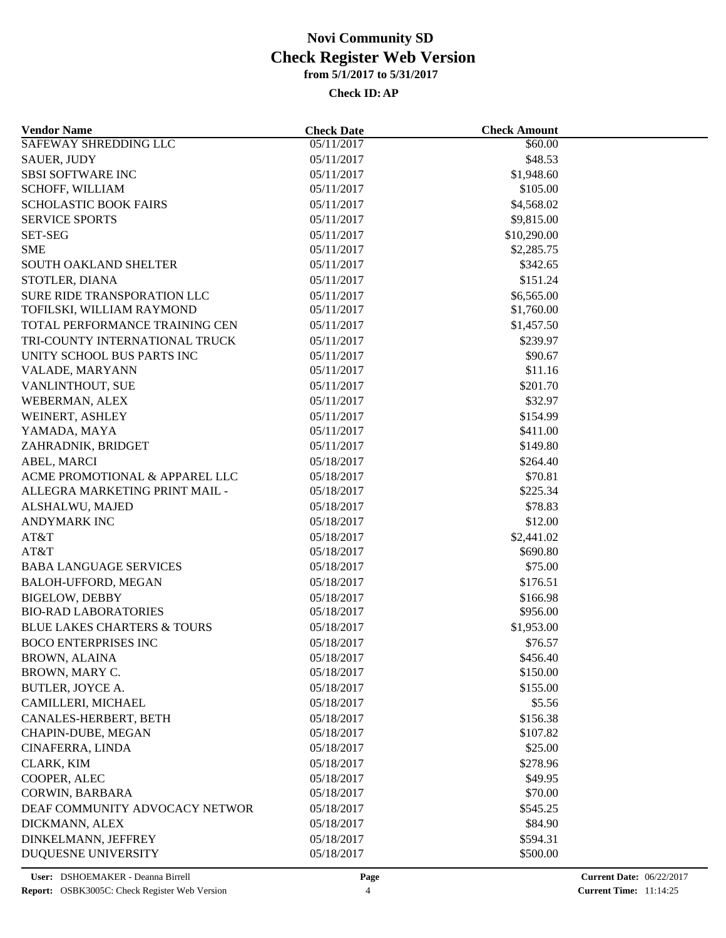| <b>Vendor Name</b>                          | <b>Check Date</b> | <b>Check Amount</b>  |  |
|---------------------------------------------|-------------------|----------------------|--|
| <b>SAFEWAY SHREDDING LLC</b>                | 05/11/2017        | \$60.00              |  |
| <b>SAUER, JUDY</b>                          | 05/11/2017        | \$48.53              |  |
| <b>SBSI SOFTWARE INC</b>                    | 05/11/2017        | \$1,948.60           |  |
| SCHOFF, WILLIAM                             | 05/11/2017        | \$105.00             |  |
| <b>SCHOLASTIC BOOK FAIRS</b>                | 05/11/2017        | \$4,568.02           |  |
| <b>SERVICE SPORTS</b>                       | 05/11/2017        | \$9,815.00           |  |
| <b>SET-SEG</b>                              | 05/11/2017        | \$10,290.00          |  |
| <b>SME</b>                                  | 05/11/2017        | \$2,285.75           |  |
| <b>SOUTH OAKLAND SHELTER</b>                | 05/11/2017        | \$342.65             |  |
| STOTLER, DIANA                              | 05/11/2017        | \$151.24             |  |
| <b>SURE RIDE TRANSPORATION LLC</b>          | 05/11/2017        | \$6,565.00           |  |
| TOFILSKI, WILLIAM RAYMOND                   | 05/11/2017        | \$1,760.00           |  |
| TOTAL PERFORMANCE TRAINING CEN              | 05/11/2017        | \$1,457.50           |  |
| TRI-COUNTY INTERNATIONAL TRUCK              | 05/11/2017        | \$239.97             |  |
| UNITY SCHOOL BUS PARTS INC                  | 05/11/2017        | \$90.67              |  |
| VALADE, MARYANN                             | 05/11/2017        | \$11.16              |  |
| VANLINTHOUT, SUE                            | 05/11/2017        | \$201.70             |  |
| WEBERMAN, ALEX                              | 05/11/2017        | \$32.97              |  |
| WEINERT, ASHLEY                             | 05/11/2017        | \$154.99             |  |
| YAMADA, MAYA                                | 05/11/2017        | \$411.00             |  |
| ZAHRADNIK, BRIDGET                          | 05/11/2017        | \$149.80             |  |
| ABEL, MARCI                                 | 05/18/2017        | \$264.40             |  |
| ACME PROMOTIONAL & APPAREL LLC              | 05/18/2017        | \$70.81              |  |
| ALLEGRA MARKETING PRINT MAIL -              | 05/18/2017        | \$225.34             |  |
| ALSHALWU, MAJED                             | 05/18/2017        | \$78.83              |  |
| ANDYMARK INC                                | 05/18/2017        | \$12.00              |  |
| AT&T                                        | 05/18/2017        | \$2,441.02           |  |
| AT&T                                        | 05/18/2017        | \$690.80             |  |
| <b>BABA LANGUAGE SERVICES</b>               | 05/18/2017        | \$75.00              |  |
| <b>BALOH-UFFORD, MEGAN</b>                  | 05/18/2017        | \$176.51             |  |
| <b>BIGELOW, DEBBY</b>                       | 05/18/2017        | \$166.98             |  |
| <b>BIO-RAD LABORATORIES</b>                 | 05/18/2017        | \$956.00             |  |
| <b>BLUE LAKES CHARTERS &amp; TOURS</b>      | 05/18/2017        | \$1,953.00           |  |
| <b>BOCO ENTERPRISES INC</b>                 | 05/18/2017        | \$76.57              |  |
| <b>BROWN, ALAINA</b>                        | 05/18/2017        | \$456.40             |  |
| BROWN, MARY C.                              | 05/18/2017        | \$150.00             |  |
| <b>BUTLER, JOYCE A.</b>                     | 05/18/2017        | \$155.00             |  |
|                                             |                   |                      |  |
| CAMILLERI, MICHAEL                          | 05/18/2017        | \$5.56               |  |
| CANALES-HERBERT, BETH<br>CHAPIN-DUBE, MEGAN | 05/18/2017        | \$156.38<br>\$107.82 |  |
|                                             | 05/18/2017        |                      |  |
| CINAFERRA, LINDA                            | 05/18/2017        | \$25.00              |  |
| CLARK, KIM                                  | 05/18/2017        | \$278.96             |  |
| COOPER, ALEC                                | 05/18/2017        | \$49.95              |  |
| CORWIN, BARBARA                             | 05/18/2017        | \$70.00              |  |
| DEAF COMMUNITY ADVOCACY NETWOR              | 05/18/2017        | \$545.25             |  |
| DICKMANN, ALEX                              | 05/18/2017        | \$84.90              |  |
| DINKELMANN, JEFFREY                         | 05/18/2017        | \$594.31             |  |
| DUQUESNE UNIVERSITY                         | 05/18/2017        | \$500.00             |  |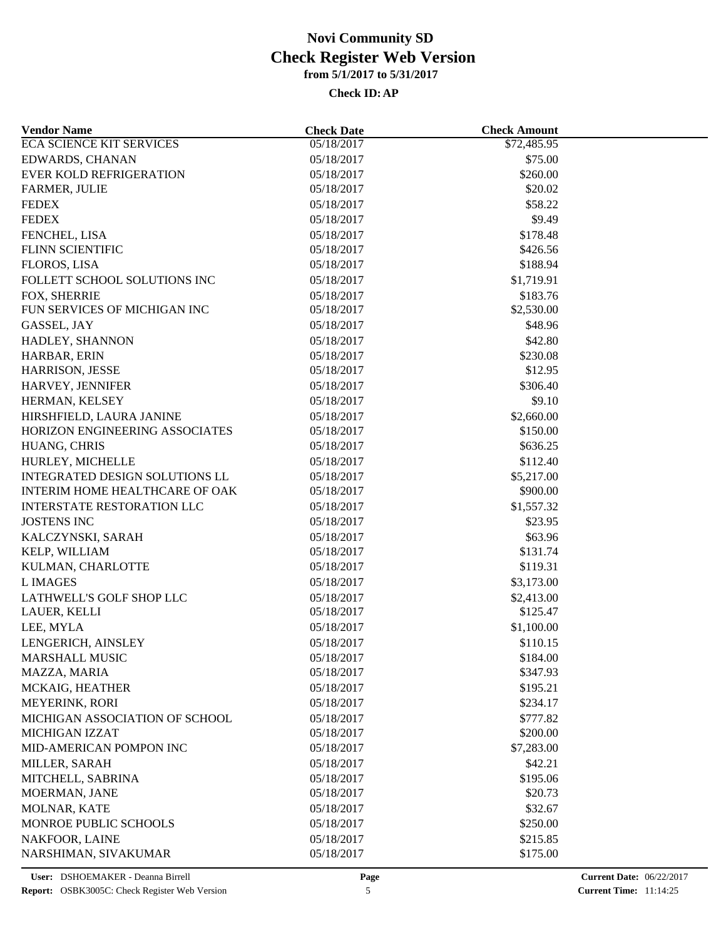| <b>Vendor Name</b>                                         | <b>Check Date</b> | <b>Check Amount</b>    |  |
|------------------------------------------------------------|-------------------|------------------------|--|
| <b>ECA SCIENCE KIT SERVICES</b>                            | 05/18/2017        | \$72,485.95            |  |
| <b>EDWARDS, CHANAN</b>                                     | 05/18/2017        | \$75.00                |  |
| <b>EVER KOLD REFRIGERATION</b>                             | 05/18/2017        | \$260.00               |  |
| <b>FARMER, JULIE</b>                                       | 05/18/2017        | \$20.02                |  |
| <b>FEDEX</b>                                               | 05/18/2017        | \$58.22                |  |
| <b>FEDEX</b>                                               | 05/18/2017        | \$9.49                 |  |
| FENCHEL, LISA                                              | 05/18/2017        | \$178.48               |  |
| FLINN SCIENTIFIC                                           | 05/18/2017        | \$426.56               |  |
| FLOROS, LISA                                               | 05/18/2017        | \$188.94               |  |
| FOLLETT SCHOOL SOLUTIONS INC                               | 05/18/2017        | \$1,719.91             |  |
| FOX, SHERRIE                                               | 05/18/2017        | \$183.76               |  |
| FUN SERVICES OF MICHIGAN INC                               | 05/18/2017        | \$2,530.00             |  |
| GASSEL, JAY                                                | 05/18/2017        | \$48.96                |  |
| HADLEY, SHANNON                                            | 05/18/2017        | \$42.80                |  |
| HARBAR, ERIN                                               | 05/18/2017        | \$230.08               |  |
| <b>HARRISON, JESSE</b>                                     | 05/18/2017        | \$12.95                |  |
| HARVEY, JENNIFER                                           | 05/18/2017        | \$306.40               |  |
| HERMAN, KELSEY                                             | 05/18/2017        | \$9.10                 |  |
|                                                            |                   |                        |  |
| HIRSHFIELD, LAURA JANINE<br>HORIZON ENGINEERING ASSOCIATES | 05/18/2017        | \$2,660.00<br>\$150.00 |  |
|                                                            | 05/18/2017        |                        |  |
| HUANG, CHRIS                                               | 05/18/2017        | \$636.25               |  |
| HURLEY, MICHELLE                                           | 05/18/2017        | \$112.40               |  |
| INTEGRATED DESIGN SOLUTIONS LL                             | 05/18/2017        | \$5,217.00             |  |
| INTERIM HOME HEALTHCARE OF OAK                             | 05/18/2017        | \$900.00               |  |
| INTERSTATE RESTORATION LLC                                 | 05/18/2017        | \$1,557.32             |  |
| <b>JOSTENS INC</b>                                         | 05/18/2017        | \$23.95                |  |
| KALCZYNSKI, SARAH                                          | 05/18/2017        | \$63.96                |  |
| KELP, WILLIAM                                              | 05/18/2017        | \$131.74               |  |
| KULMAN, CHARLOTTE                                          | 05/18/2017        | \$119.31               |  |
| <b>L IMAGES</b>                                            | 05/18/2017        | \$3,173.00             |  |
| LATHWELL'S GOLF SHOP LLC                                   | 05/18/2017        | \$2,413.00             |  |
| LAUER, KELLI                                               | 05/18/2017        | \$125.47               |  |
| LEE, MYLA                                                  | 05/18/2017        | \$1,100.00             |  |
| LENGERICH, AINSLEY                                         | 05/18/2017        | \$110.15               |  |
| <b>MARSHALL MUSIC</b>                                      | 05/18/2017        | \$184.00               |  |
| MAZZA, MARIA                                               | 05/18/2017        | \$347.93               |  |
| MCKAIG, HEATHER                                            | 05/18/2017        | \$195.21               |  |
| MEYERINK, RORI                                             | 05/18/2017        | \$234.17               |  |
| MICHIGAN ASSOCIATION OF SCHOOL                             | 05/18/2017        | \$777.82               |  |
| MICHIGAN IZZAT                                             | 05/18/2017        | \$200.00               |  |
| MID-AMERICAN POMPON INC                                    | 05/18/2017        | \$7,283.00             |  |
| MILLER, SARAH                                              | 05/18/2017        | \$42.21                |  |
| MITCHELL, SABRINA                                          | 05/18/2017        | \$195.06               |  |
| MOERMAN, JANE                                              | 05/18/2017        | \$20.73                |  |
| MOLNAR, KATE                                               | 05/18/2017        | \$32.67                |  |
| MONROE PUBLIC SCHOOLS                                      | 05/18/2017        | \$250.00               |  |
| NAKFOOR, LAINE                                             | 05/18/2017        | \$215.85               |  |
| NARSHIMAN, SIVAKUMAR                                       | 05/18/2017        | \$175.00               |  |
|                                                            |                   |                        |  |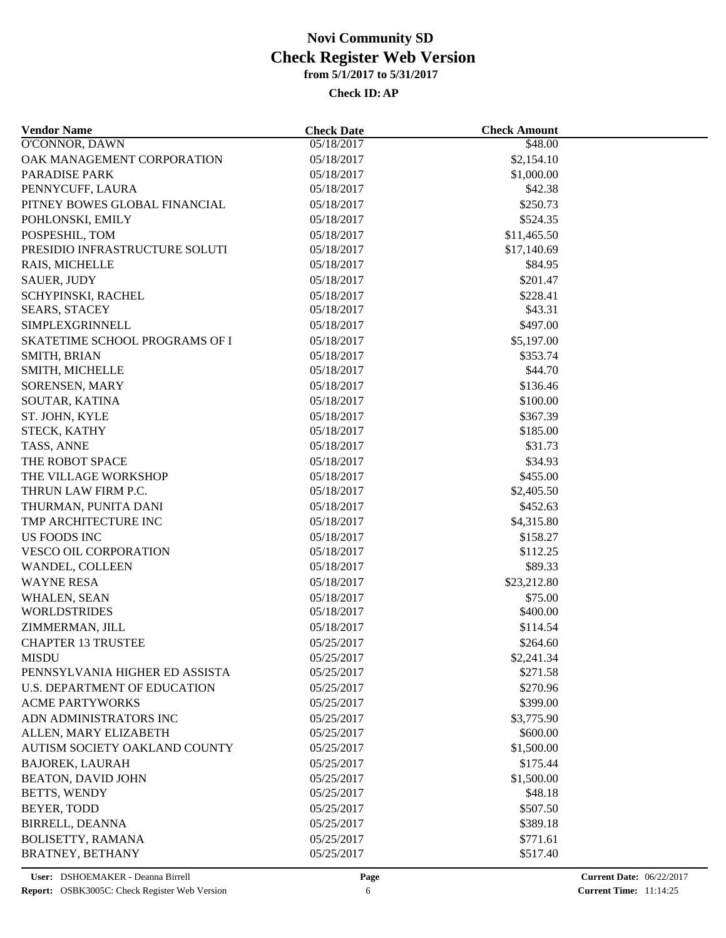| <b>Vendor Name</b>             | <b>Check Date</b>        | <b>Check Amount</b> |  |
|--------------------------------|--------------------------|---------------------|--|
| O'CONNOR, DAWN                 | 05/18/2017               | \$48.00             |  |
| OAK MANAGEMENT CORPORATION     | 05/18/2017               | \$2,154.10          |  |
| <b>PARADISE PARK</b>           | 05/18/2017<br>\$1,000.00 |                     |  |
| PENNYCUFF, LAURA               | 05/18/2017               | \$42.38             |  |
| PITNEY BOWES GLOBAL FINANCIAL  | 05/18/2017               | \$250.73            |  |
| POHLONSKI, EMILY               | 05/18/2017               | \$524.35            |  |
| POSPESHIL, TOM                 | 05/18/2017               | \$11,465.50         |  |
| PRESIDIO INFRASTRUCTURE SOLUTI | 05/18/2017               | \$17,140.69         |  |
| RAIS, MICHELLE                 | 05/18/2017               | \$84.95             |  |
| <b>SAUER, JUDY</b>             | 05/18/2017               | \$201.47            |  |
| SCHYPINSKI, RACHEL             | 05/18/2017               | \$228.41            |  |
| <b>SEARS, STACEY</b>           | 05/18/2017               | \$43.31             |  |
| SIMPLEXGRINNELL                | 05/18/2017               | \$497.00            |  |
| SKATETIME SCHOOL PROGRAMS OF I | 05/18/2017               | \$5,197.00          |  |
| SMITH, BRIAN                   | 05/18/2017               | \$353.74            |  |
| SMITH, MICHELLE                | 05/18/2017               | \$44.70             |  |
| SORENSEN, MARY                 | 05/18/2017               | \$136.46            |  |
| SOUTAR, KATINA                 | 05/18/2017               | \$100.00            |  |
| ST. JOHN, KYLE                 | 05/18/2017               | \$367.39            |  |
| STECK, KATHY                   | 05/18/2017               | \$185.00            |  |
| TASS, ANNE                     | 05/18/2017               | \$31.73             |  |
| THE ROBOT SPACE                | 05/18/2017               | \$34.93             |  |
| THE VILLAGE WORKSHOP           | 05/18/2017               | \$455.00            |  |
| THRUN LAW FIRM P.C.            | 05/18/2017               | \$2,405.50          |  |
| THURMAN, PUNITA DANI           | 05/18/2017               | \$452.63            |  |
|                                |                          |                     |  |
| TMP ARCHITECTURE INC           | 05/18/2017               | \$4,315.80          |  |
| <b>US FOODS INC</b>            | 05/18/2017               | \$158.27            |  |
| VESCO OIL CORPORATION          | 05/18/2017               | \$112.25            |  |
| WANDEL, COLLEEN                | 05/18/2017               | \$89.33             |  |
| <b>WAYNE RESA</b>              | 05/18/2017               | \$23,212.80         |  |
| WHALEN, SEAN                   | 05/18/2017               | \$75.00             |  |
| <b>WORLDSTRIDES</b>            | 05/18/2017               | \$400.00            |  |
| ZIMMERMAN, JILL                | 05/18/2017               | \$114.54            |  |
| <b>CHAPTER 13 TRUSTEE</b>      | 05/25/2017               | \$264.60            |  |
| <b>MISDU</b>                   | 05/25/2017               | \$2,241.34          |  |
| PENNSYLVANIA HIGHER ED ASSISTA | 05/25/2017               | \$271.58            |  |
| U.S. DEPARTMENT OF EDUCATION   | 05/25/2017               | \$270.96            |  |
| <b>ACME PARTYWORKS</b>         | 05/25/2017               | \$399.00            |  |
| ADN ADMINISTRATORS INC         | 05/25/2017               | \$3,775.90          |  |
| ALLEN, MARY ELIZABETH          | 05/25/2017               | \$600.00            |  |
| AUTISM SOCIETY OAKLAND COUNTY  | 05/25/2017               | \$1,500.00          |  |
| <b>BAJOREK, LAURAH</b>         | 05/25/2017               | \$175.44            |  |
| <b>BEATON, DAVID JOHN</b>      | 05/25/2017               | \$1,500.00          |  |
| BETTS, WENDY                   | 05/25/2017               | \$48.18             |  |
| <b>BEYER, TODD</b>             | 05/25/2017               | \$507.50            |  |
| <b>BIRRELL, DEANNA</b>         | 05/25/2017               | \$389.18            |  |
| <b>BOLISETTY, RAMANA</b>       | 05/25/2017               | \$771.61            |  |
| <b>BRATNEY, BETHANY</b>        | 05/25/2017               | \$517.40            |  |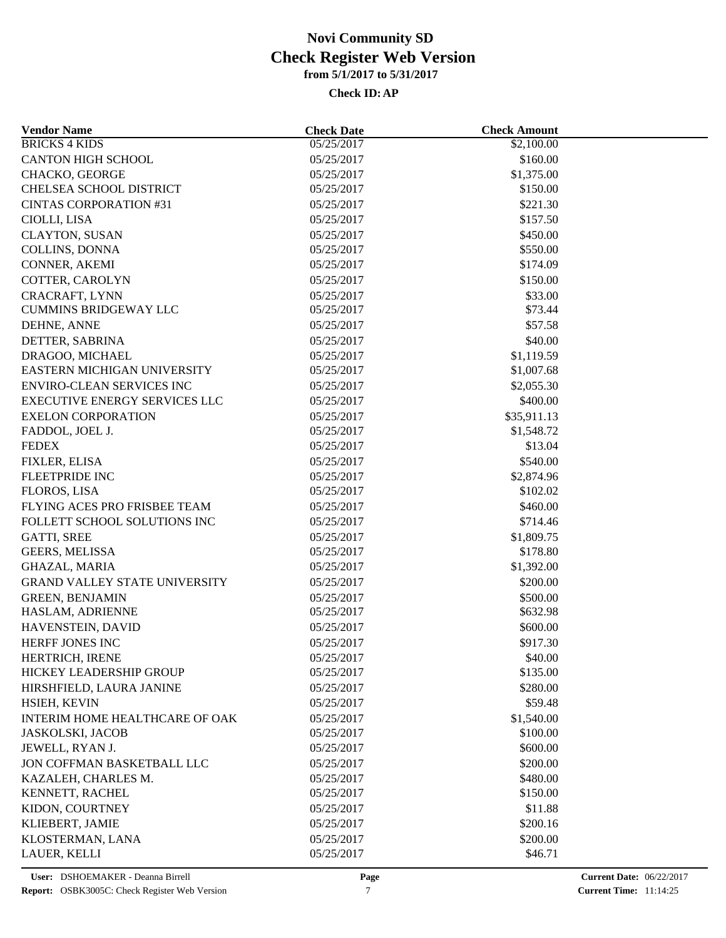| <b>Vendor Name</b>                         | <b>Check Date</b>        | <b>Check Amount</b> |  |
|--------------------------------------------|--------------------------|---------------------|--|
| <b>BRICKS 4 KIDS</b>                       | 05/25/2017               | \$2,100.00          |  |
| <b>CANTON HIGH SCHOOL</b>                  | 05/25/2017               | \$160.00            |  |
| CHACKO, GEORGE                             | 05/25/2017<br>\$1,375.00 |                     |  |
| CHELSEA SCHOOL DISTRICT                    | 05/25/2017               | \$150.00            |  |
| <b>CINTAS CORPORATION #31</b>              | 05/25/2017               | \$221.30            |  |
| CIOLLI, LISA                               | 05/25/2017               | \$157.50            |  |
| <b>CLAYTON, SUSAN</b>                      | 05/25/2017               | \$450.00            |  |
| COLLINS, DONNA                             | 05/25/2017               | \$550.00            |  |
| CONNER, AKEMI                              | 05/25/2017               | \$174.09            |  |
| COTTER, CAROLYN                            | 05/25/2017               | \$150.00            |  |
| CRACRAFT, LYNN                             | 05/25/2017               | \$33.00             |  |
| <b>CUMMINS BRIDGEWAY LLC</b>               | 05/25/2017               | \$73.44             |  |
| DEHNE, ANNE                                | 05/25/2017               | \$57.58             |  |
| DETTER, SABRINA                            | 05/25/2017               | \$40.00             |  |
| DRAGOO, MICHAEL                            | 05/25/2017               | \$1,119.59          |  |
| EASTERN MICHIGAN UNIVERSITY                | 05/25/2017               | \$1,007.68          |  |
| <b>ENVIRO-CLEAN SERVICES INC</b>           | 05/25/2017               | \$2,055.30          |  |
| <b>EXECUTIVE ENERGY SERVICES LLC</b>       | 05/25/2017               | \$400.00            |  |
| <b>EXELON CORPORATION</b>                  | 05/25/2017               | \$35,911.13         |  |
| FADDOL, JOEL J.                            | 05/25/2017               | \$1,548.72          |  |
| <b>FEDEX</b>                               | 05/25/2017               | \$13.04             |  |
| FIXLER, ELISA                              | 05/25/2017               | \$540.00            |  |
| <b>FLEETPRIDE INC</b>                      | 05/25/2017               | \$2,874.96          |  |
| FLOROS, LISA                               | 05/25/2017               | \$102.02            |  |
| FLYING ACES PRO FRISBEE TEAM               | 05/25/2017               | \$460.00            |  |
| FOLLETT SCHOOL SOLUTIONS INC               | 05/25/2017               | \$714.46            |  |
| <b>GATTI, SREE</b>                         | 05/25/2017               | \$1,809.75          |  |
| GEERS, MELISSA                             | 05/25/2017               | \$178.80            |  |
| GHAZAL, MARIA                              | 05/25/2017               | \$1,392.00          |  |
| <b>GRAND VALLEY STATE UNIVERSITY</b>       |                          |                     |  |
|                                            | 05/25/2017               | \$200.00            |  |
| <b>GREEN, BENJAMIN</b><br>HASLAM, ADRIENNE | 05/25/2017               | \$500.00            |  |
|                                            | 05/25/2017               | \$632.98            |  |
| HAVENSTEIN, DAVID                          | 05/25/2017               | \$600.00            |  |
| HERFF JONES INC                            | 05/25/2017               | \$917.30            |  |
| HERTRICH, IRENE                            | 05/25/2017               | \$40.00             |  |
| HICKEY LEADERSHIP GROUP                    | 05/25/2017               | \$135.00            |  |
| HIRSHFIELD, LAURA JANINE                   | 05/25/2017               | \$280.00            |  |
| HSIEH, KEVIN                               | 05/25/2017               | \$59.48             |  |
| INTERIM HOME HEALTHCARE OF OAK             | 05/25/2017               | \$1,540.00          |  |
| <b>JASKOLSKI, JACOB</b>                    | 05/25/2017               | \$100.00            |  |
| JEWELL, RYAN J.                            | 05/25/2017               | \$600.00            |  |
| JON COFFMAN BASKETBALL LLC                 | 05/25/2017               | \$200.00            |  |
| KAZALEH, CHARLES M.                        | 05/25/2017               | \$480.00            |  |
| KENNETT, RACHEL                            | 05/25/2017               | \$150.00            |  |
| KIDON, COURTNEY                            | 05/25/2017               | \$11.88             |  |
| KLIEBERT, JAMIE                            | 05/25/2017               | \$200.16            |  |
| KLOSTERMAN, LANA                           | 05/25/2017               | \$200.00            |  |
| LAUER, KELLI                               | 05/25/2017               | \$46.71             |  |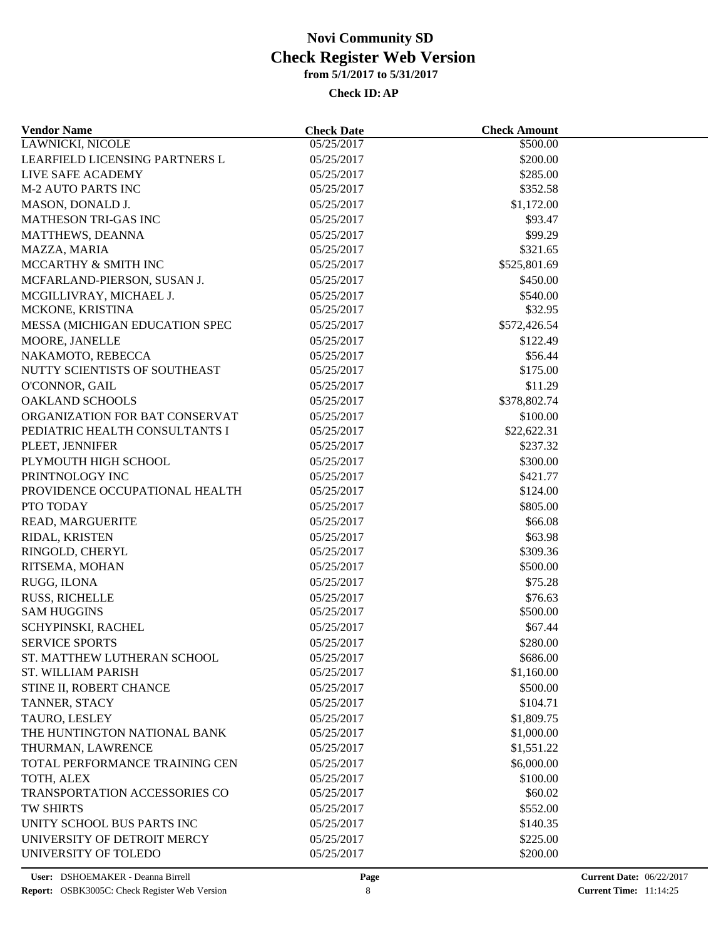| <b>Vendor Name</b>             | <b>Check Date</b>        | <b>Check Amount</b> |  |
|--------------------------------|--------------------------|---------------------|--|
| <b>LAWNICKI, NICOLE</b>        | 05/25/2017               | \$500.00            |  |
| LEARFIELD LICENSING PARTNERS L | 05/25/2017               | \$200.00            |  |
| LIVE SAFE ACADEMY              | 05/25/2017<br>\$285.00   |                     |  |
| <b>M-2 AUTO PARTS INC</b>      | \$352.58<br>05/25/2017   |                     |  |
| MASON, DONALD J.               | 05/25/2017               | \$1,172.00          |  |
| <b>MATHESON TRI-GAS INC</b>    | 05/25/2017               | \$93.47             |  |
| MATTHEWS, DEANNA               | 05/25/2017               | \$99.29             |  |
| MAZZA, MARIA                   | 05/25/2017               | \$321.65            |  |
| MCCARTHY & SMITH INC           | 05/25/2017               | \$525,801.69        |  |
| MCFARLAND-PIERSON, SUSAN J.    | 05/25/2017               | \$450.00            |  |
| MCGILLIVRAY, MICHAEL J.        | 05/25/2017               | \$540.00            |  |
| MCKONE, KRISTINA               | 05/25/2017               | \$32.95             |  |
| MESSA (MICHIGAN EDUCATION SPEC | 05/25/2017               | \$572,426.54        |  |
| MOORE, JANELLE                 | 05/25/2017               | \$122.49            |  |
| NAKAMOTO, REBECCA              | 05/25/2017               | \$56.44             |  |
| NUTTY SCIENTISTS OF SOUTHEAST  | 05/25/2017               | \$175.00            |  |
| O'CONNOR, GAIL                 | 05/25/2017               | \$11.29             |  |
| <b>OAKLAND SCHOOLS</b>         | 05/25/2017               | \$378,802.74        |  |
| ORGANIZATION FOR BAT CONSERVAT | 05/25/2017               | \$100.00            |  |
| PEDIATRIC HEALTH CONSULTANTS I | 05/25/2017               | \$22,622.31         |  |
| PLEET, JENNIFER                | 05/25/2017               | \$237.32            |  |
| PLYMOUTH HIGH SCHOOL           | 05/25/2017               | \$300.00            |  |
| PRINTNOLOGY INC                | 05/25/2017               | \$421.77            |  |
| PROVIDENCE OCCUPATIONAL HEALTH | 05/25/2017               | \$124.00            |  |
| PTO TODAY                      | 05/25/2017               | \$805.00            |  |
|                                |                          | \$66.08             |  |
| READ, MARGUERITE               | 05/25/2017               |                     |  |
| RIDAL, KRISTEN                 | 05/25/2017<br>05/25/2017 | \$63.98             |  |
| RINGOLD, CHERYL                |                          | \$309.36            |  |
| RITSEMA, MOHAN                 | 05/25/2017               | \$500.00            |  |
| RUGG, ILONA                    | 05/25/2017               | \$75.28             |  |
| RUSS, RICHELLE                 | 05/25/2017               | \$76.63             |  |
| <b>SAM HUGGINS</b>             | 05/25/2017               | \$500.00            |  |
| SCHYPINSKI, RACHEL             | 05/25/2017               | \$67.44             |  |
| <b>SERVICE SPORTS</b>          | 05/25/2017               | \$280.00            |  |
| ST. MATTHEW LUTHERAN SCHOOL    | 05/25/2017               | \$686.00            |  |
| <b>ST. WILLIAM PARISH</b>      | 05/25/2017               | \$1,160.00          |  |
| STINE II, ROBERT CHANCE        | 05/25/2017               | \$500.00            |  |
| TANNER, STACY                  | 05/25/2017               | \$104.71            |  |
| TAURO, LESLEY                  | 05/25/2017               | \$1,809.75          |  |
| THE HUNTINGTON NATIONAL BANK   | 05/25/2017               | \$1,000.00          |  |
| THURMAN, LAWRENCE              | 05/25/2017               | \$1,551.22          |  |
| TOTAL PERFORMANCE TRAINING CEN | 05/25/2017               | \$6,000.00          |  |
| TOTH, ALEX                     | 05/25/2017               | \$100.00            |  |
| TRANSPORTATION ACCESSORIES CO  | 05/25/2017               | \$60.02             |  |
| TW SHIRTS                      | 05/25/2017               | \$552.00            |  |
| UNITY SCHOOL BUS PARTS INC     | 05/25/2017               | \$140.35            |  |
| UNIVERSITY OF DETROIT MERCY    | 05/25/2017               | \$225.00            |  |
| UNIVERSITY OF TOLEDO           | 05/25/2017               | \$200.00            |  |
|                                |                          |                     |  |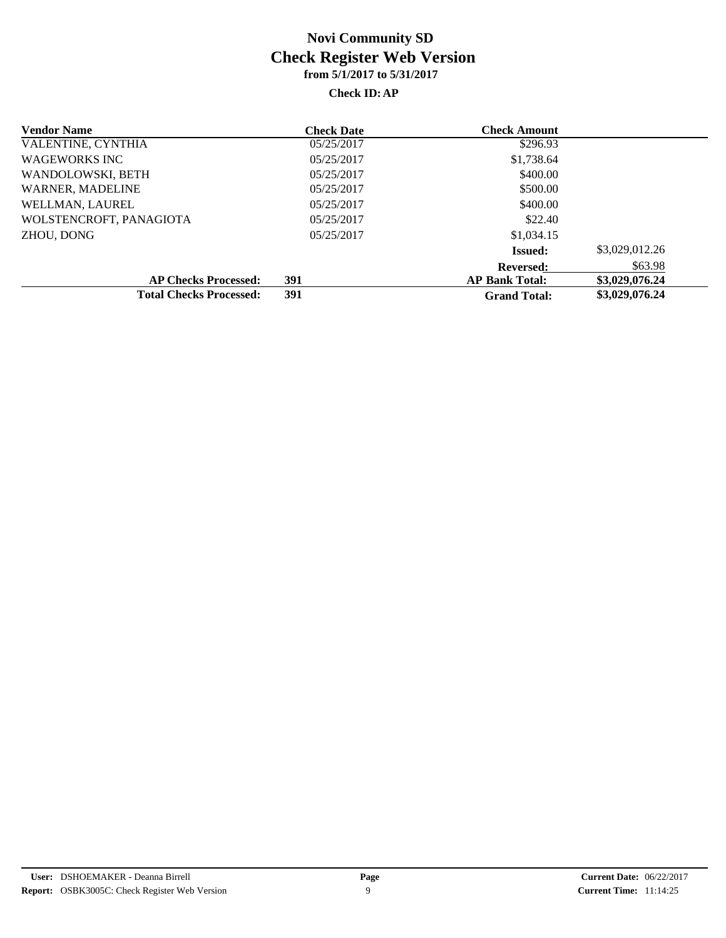| <b>Vendor Name</b>             | <b>Check Date</b> | <b>Check Amount</b>   |                |
|--------------------------------|-------------------|-----------------------|----------------|
| VALENTINE, CYNTHIA             | 05/25/2017        | \$296.93              |                |
| <b>WAGEWORKS INC</b>           | 05/25/2017        | \$1,738.64            |                |
| WANDOLOWSKI, BETH              | 05/25/2017        | \$400.00              |                |
| WARNER, MADELINE               | 05/25/2017        | \$500.00              |                |
| WELLMAN, LAUREL                | 05/25/2017        | \$400.00              |                |
| WOLSTENCROFT, PANAGIOTA        | 05/25/2017        | \$22.40               |                |
| ZHOU, DONG                     | 05/25/2017        | \$1,034.15            |                |
|                                |                   | <b>Issued:</b>        | \$3,029,012.26 |
|                                |                   | <b>Reversed:</b>      | \$63.98        |
| <b>AP Checks Processed:</b>    | 391               | <b>AP Bank Total:</b> | \$3,029,076.24 |
| <b>Total Checks Processed:</b> | 391               | <b>Grand Total:</b>   | \$3,029,076.24 |